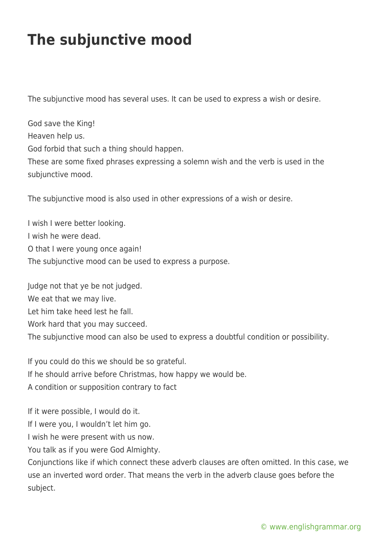## **The subjunctive mood**

The subjunctive mood has several uses. It can be used to express a wish or desire.

God save the King! Heaven help us. God forbid that such a thing should happen. These are some fixed phrases expressing a solemn wish and the verb is used in the subjunctive mood.

The subjunctive mood is also used in other expressions of a wish or desire.

I wish I were better looking. I wish he were dead. O that I were young once again! The subjunctive mood can be used to express a purpose.

Judge not that ye be not judged. We eat that we may live. Let him take heed lest he fall. Work hard that you may succeed. The subjunctive mood can also be used to express a doubtful condition or possibility.

If you could do this we should be so grateful. If he should arrive before Christmas, how happy we would be. A condition or supposition contrary to fact

If it were possible, I would do it.

If I were you, I wouldn't let him go.

I wish he were present with us now.

You talk as if you were God Almighty.

Conjunctions like if which connect these adverb clauses are often omitted. In this case, we use an inverted word order. That means the verb in the adverb clause goes before the subject.